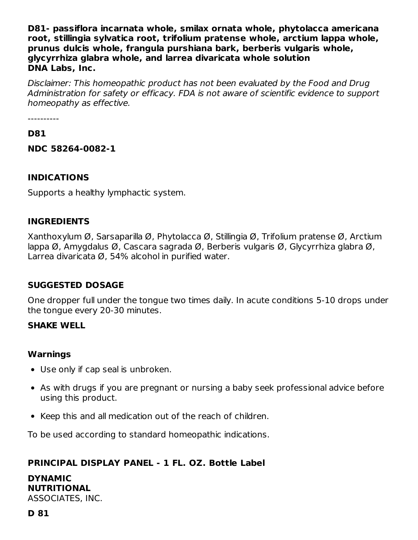**D81- passiflora incarnata whole, smilax ornata whole, phytolacca americana root, stillingia sylvatica root, trifolium pratense whole, arctium lappa whole, prunus dulcis whole, frangula purshiana bark, berberis vulgaris whole, glycyrrhiza glabra whole, and larrea divaricata whole solution DNA Labs, Inc.**

Disclaimer: This homeopathic product has not been evaluated by the Food and Drug Administration for safety or efficacy. FDA is not aware of scientific evidence to support homeopathy as effective.

----------

#### **D81**

**NDC 58264-0082-1**

## **INDICATIONS**

Supports a healthy lymphactic system.

## **INGREDIENTS**

Xanthoxylum Ø, Sarsaparilla Ø, Phytolacca Ø, Stillingia Ø, Trifolium pratense Ø, Arctium lappa Ø, Amygdalus Ø, Cascara sagrada Ø, Berberis vulgaris Ø, Glycyrrhiza glabra Ø, Larrea divaricata Ø, 54% alcohol in purified water.

## **SUGGESTED DOSAGE**

One dropper full under the tongue two times daily. In acute conditions 5-10 drops under the tongue every 20-30 minutes.

#### **SHAKE WELL**

#### **Warnings**

- Use only if cap seal is unbroken.
- As with drugs if you are pregnant or nursing a baby seek professional advice before using this product.
- Keep this and all medication out of the reach of children.

To be used according to standard homeopathic indications.

## **PRINCIPAL DISPLAY PANEL - 1 FL. OZ. Bottle Label**

**DYNAMIC NUTRITIONAL** ASSOCIATES, INC.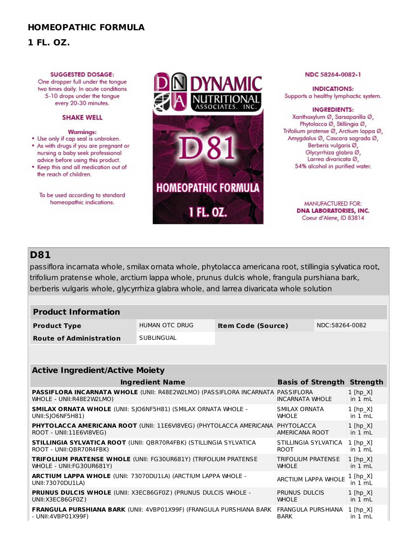## **HOMEOPATHIC FORMULA**

### **1 FL. OZ.**

#### **SUGGESTED DOSAGE:**

One dropper full under the tongue two times daily. In acute conditions 5-10 drops under the tongue every 20-30 minutes.

#### **SHAKE WELL**

#### **Warnings:**

- Use only if cap seal is unbroken. . As with drugs if you are pregnant or nursing a baby seek professional advice before using this product.
- Keep this and all medication out of the reach of children.

To be used according to standard homeopathic indications.



#### NDC 58264-0082-1

**INDICATIONS:** Supports a healthy lymphactic system.

**INGREDIENTS:** Xanthoxylum Ø, Sarsaparilla Ø, Phytolacca Ø, Stillingia Ø, Trifolium pratense Ø, Arctium lappa Ø, Amygdalus Ø, Cascara sagrada Ø, Berberis vulgaris Ø, Glycyrrhiza glabra Ø, Larrea divaricata Ø, 54% alcohol in purified water.

> MANUFACTURED FOR: **DNA LABORATORIES, INC.** Coeur d'Alene, ID 83814

## **D81**

passiflora incarnata whole, smilax ornata whole, phytolacca americana root, stillingia sylvatica root, trifolium pratense whole, arctium lappa whole, prunus dulcis whole, frangula purshiana bark, berberis vulgaris whole, glycyrrhiza glabra whole, and larrea divaricata whole solution

| <b>Product Information</b>                                                                                        |                                     |                           |                                           |                                   |                            |  |  |  |  |  |  |
|-------------------------------------------------------------------------------------------------------------------|-------------------------------------|---------------------------|-------------------------------------------|-----------------------------------|----------------------------|--|--|--|--|--|--|
| <b>Product Type</b>                                                                                               | <b>HUMAN OTC DRUG</b>               | <b>Item Code (Source)</b> |                                           | NDC:58264-0082                    |                            |  |  |  |  |  |  |
| <b>Route of Administration</b>                                                                                    | <b>SUBLINGUAL</b>                   |                           |                                           |                                   |                            |  |  |  |  |  |  |
|                                                                                                                   |                                     |                           |                                           |                                   |                            |  |  |  |  |  |  |
| <b>Active Ingredient/Active Moiety</b>                                                                            |                                     |                           |                                           |                                   |                            |  |  |  |  |  |  |
| <b>Ingredient Name</b>                                                                                            |                                     |                           |                                           | <b>Basis of Strength Strength</b> |                            |  |  |  |  |  |  |
| <b>PASSIFLORA INCARNATA WHOLE (UNII: R48E2W2LMO) (PASSIFLORA INCARNATA PASSIFLORA</b><br>WHOLE - UNII:R48E2W2LMO) |                                     |                           |                                           | <b>INCARNATA WHOLE</b>            |                            |  |  |  |  |  |  |
| SMILAX ORNATA WHOLE (UNII: SJO6NF5H81) (SMILAX ORNATA WHOLE -<br>UNII:SIO6NF5H81)                                 |                                     |                           |                                           | SMILAX ORNATA<br><b>WHOLE</b>     |                            |  |  |  |  |  |  |
| PHYTOLACCA AMERICANA ROOT (UNII: 11E6VI8VEG) (PHYTOLACCA AMERICANA<br>ROOT - UNII:11E6VI8VEG)                     | PHYTOLACCA<br>AMERICANA ROOT        |                           | $1$ [hp $X$ ]<br>in 1 mL                  |                                   |                            |  |  |  |  |  |  |
| <b>STILLINGIA SYLVATICA ROOT (UNII: OBR70R4FBK) (STILLINGIA SYLVATICA</b><br>ROOT - UNII:OBR70R4FBK)              | STILLINGIA SYLVATICA<br><b>ROOT</b> |                           | $1$ [hp $X$ ]<br>in $1 \text{ mL}$        |                                   |                            |  |  |  |  |  |  |
| <b>TRIFOLIUM PRATENSE WHOLE (UNII: FG30UR681Y) (TRIFOLIUM PRATENSE</b><br>WHOLE - UNII:FG30UR681Y)                |                                     |                           | <b>TRIFOLIUM PRATENSE</b><br><b>WHOLE</b> |                                   | $1$ [hp $X$ ]<br>in 1 mL   |  |  |  |  |  |  |
| <b>ARCTIUM LAPPA WHOLE (UNII: 73070DU1LA) (ARCTIUM LAPPA WHOLE -</b><br>UNII: 73070DU1LA)                         |                                     |                           |                                           | <b>ARCTIUM LAPPA WHOLE</b>        |                            |  |  |  |  |  |  |
| <b>PRUNUS DULCIS WHOLE (UNII: X3EC86GF0Z) (PRUNUS DULCIS WHOLE -</b><br>UNII: X3EC86GF0Z)                         |                                     |                           | <b>PRUNUS DULCIS</b><br><b>WHOLE</b>      |                                   | $1$ [hp $X$ ]<br>in $1 mL$ |  |  |  |  |  |  |
| <b>FRANGULA PURSHIANA BARK (UNII: 4VBP01X99F) (FRANGULA PURSHIANA BARK</b><br>- UNII:4VBP01X99F)                  |                                     |                           | FRANGULA PURSHIANA<br><b>BARK</b>         |                                   | $1$ [hp $X$ ]<br>in 1 mL   |  |  |  |  |  |  |